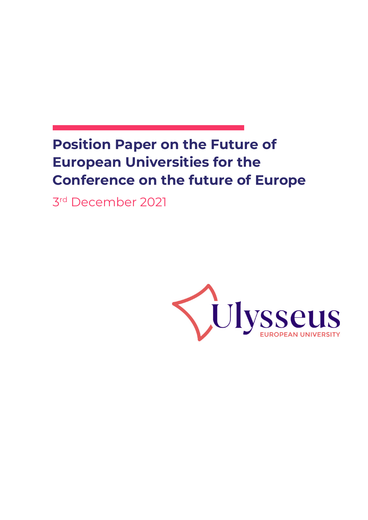# **Position Paper on the Future of European Universities for the Conference on the future of Europe**

3rd December 2021

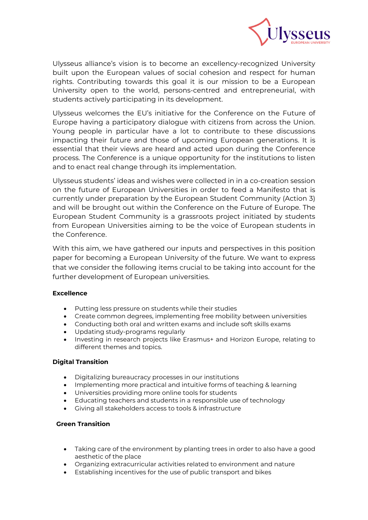

Ulysseus alliance's vision is to become an excellency-recognized University built upon the European values of social cohesion and respect for human rights. Contributing towards this goal it is our mission to be a European University open to the world, persons-centred and entrepreneurial, with students actively participating in its development.

Ulysseus welcomes the EU's initiative for the Conference on the Future of Europe having a participatory dialogue with citizens from across the Union. Young people in particular have a lot to contribute to these discussions impacting their future and those of upcoming European generations. It is essential that their views are heard and acted upon during the Conference process. The Conference is a unique opportunity for the institutions to listen and to enact real change through its implementation.

Ulysseus students' ideas and wishes were collected in in a co-creation session on the future of European Universities in order to feed a Manifesto that is currently under preparation by the European Student Community (Action 3) and will be brought out within the Conference on the Future of Europe. The European Student Community is a grassroots project initiated by students from European Universities aiming to be the voice of European students in the Conference.

With this aim, we have gathered our inputs and perspectives in this position paper for becoming a European University of the future. We want to express that we consider the following items crucial to be taking into account for the further development of European universities.

# **Excellence**

- Putting less pressure on students while their studies
- Create common degrees, implementing free mobility between universities
- Conducting both oral and written exams and include soft skills exams
- Updating study-programs regularly
- Investing in research projects like Erasmus+ and Horizon Europe, relating to different themes and topics.

# **Digital Transition**

- Digitalizing bureaucracy processes in our institutions
- Implementing more practical and intuitive forms of teaching & learning
- Universities providing more online tools for students
- Educating teachers and students in a responsible use of technology
- Giving all stakeholders access to tools & infrastructure

# **Green Transition**

- Taking care of the environment by planting trees in order to also have a good aesthetic of the place
- Organizing extracurricular activities related to environment and nature
- Establishing incentives for the use of public transport and bikes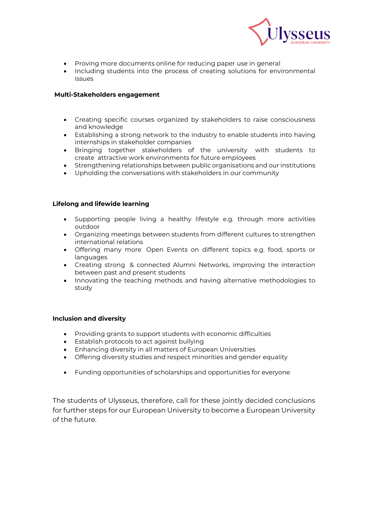

- Proving more documents online for reducing paper use in general
- Including students into the process of creating solutions for environmental issues

#### **Multi-Stakeholders engagement**

- Creating specific courses organized by stakeholders to raise consciousness and knowledge
- Establishing a strong network to the industry to enable students into having internships in stakeholder companies
- Bringing together stakeholders of the university with students to create attractive work environments for future employees
- Strengthening relationships between public organisations and our institutions
- Upholding the conversations with stakeholders in our community

#### **Lifelong and lifewide learning**

- Supporting people living a healthy lifestyle e.g. through more activities outdoor
- Organizing meetings between students from different cultures to strengthen international relations
- Offering many more Open Events on different topics e.g. food, sports or languages
- Creating strong & connected Alumni Networks, improving the interaction between past and present students
- Innovating the teaching methods and having alternative methodologies to study

#### **Inclusion and diversity**

- Providing grants to support students with economic difficulties
- Establish protocols to act against bullying
- Enhancing diversity in all matters of European Universities
- Offering diversity studies and respect minorities and gender equality
- Funding opportunities of scholarships and opportunities for everyone

The students of Ulysseus, therefore, call for these jointly decided conclusions for further steps for our European University to become a European University of the future.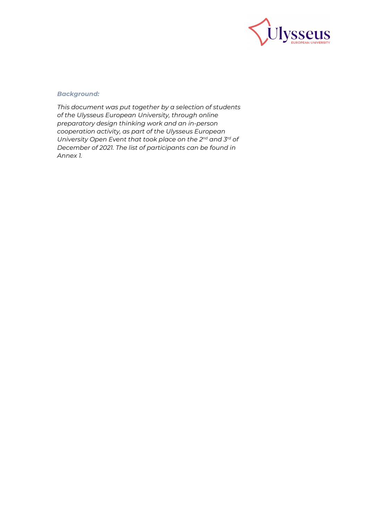

# *Background:*

*This document was put together by a selection of students of the Ulysseus European University, through online preparatory design thinking work and an in-person cooperation activity, as part of the Ulysseus European University Open Event that took place on the 2nd and 3rd of December of 2021. The list of participants can be found in Annex 1.*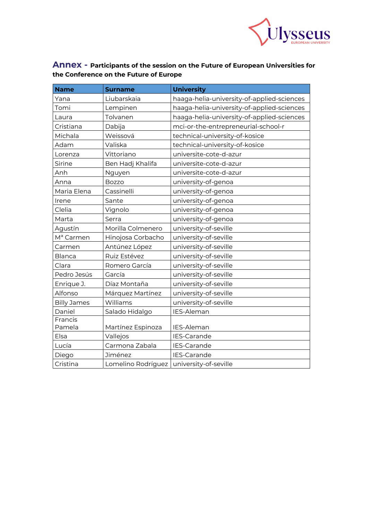

# **Annex - Participants of the session on the Future of European Universities for the Conference on the Future of Europe**

| <b>Name</b>           | <b>Surname</b>     | <b>University</b>                          |
|-----------------------|--------------------|--------------------------------------------|
| Yana                  | Liubarskaia        | haaga-helia-university-of-applied-sciences |
| Tomi                  | Lempinen           | haaga-helia-university-of-applied-sciences |
| Laura                 | Tolvanen           | haaga-helia-university-of-applied-sciences |
| Cristiana             | Dabija             | mci-or-the-entrepreneurial-school-r        |
| Michala               | Weissová           | technical-university-of-kosice             |
| Adam                  | Valiska            | technical-university-of-kosice             |
| Lorenza               | Vittoriano         | universite-cote-d-azur                     |
| Sirine                | Ben Hadj Khalifa   | universite-cote-d-azur                     |
| Anh                   | Nguyen             | universite-cote-d-azur                     |
| Anna                  | <b>Bozzo</b>       | university-of-genoa                        |
| Maria Elena           | Cassinelli         | university-of-genoa                        |
| Irene                 | Sante              | university-of-genoa                        |
| Clelia                | Vignolo            | university-of-genoa                        |
| Marta                 | Serra              | university-of-genoa                        |
| Agustín               | Morilla Colmenero  | university-of-seville                      |
| M <sup>a</sup> Carmen | Hinojosa Corbacho  | university-of-seville                      |
| Carmen                | Antúnez López      | university-of-seville                      |
| <b>Blanca</b>         | Ruiz Estévez       | university-of-seville                      |
| Clara                 | Romero García      | university-of-seville                      |
| Pedro Jesús           | García             | university-of-seville                      |
| Enrique J.            | Díaz Montaña       | university-of-seville                      |
| Alfonso               | Márquez Martínez   | university-of-seville                      |
| <b>Billy James</b>    | Williams           | university-of-seville                      |
| Daniel                | Salado Hidalgo     | IES-Aleman                                 |
| Francis               |                    |                                            |
| Pamela                | Martínez Espinoza  | IES-Aleman                                 |
| Elsa                  | Vallejos           | IES-Carande                                |
| Lucía                 | Carmona Zabala     | IES-Carande                                |
| Diego                 | Jiménez            | IES-Carande                                |
| Cristina              | Lomelino Rodríguez | university-of-seville                      |